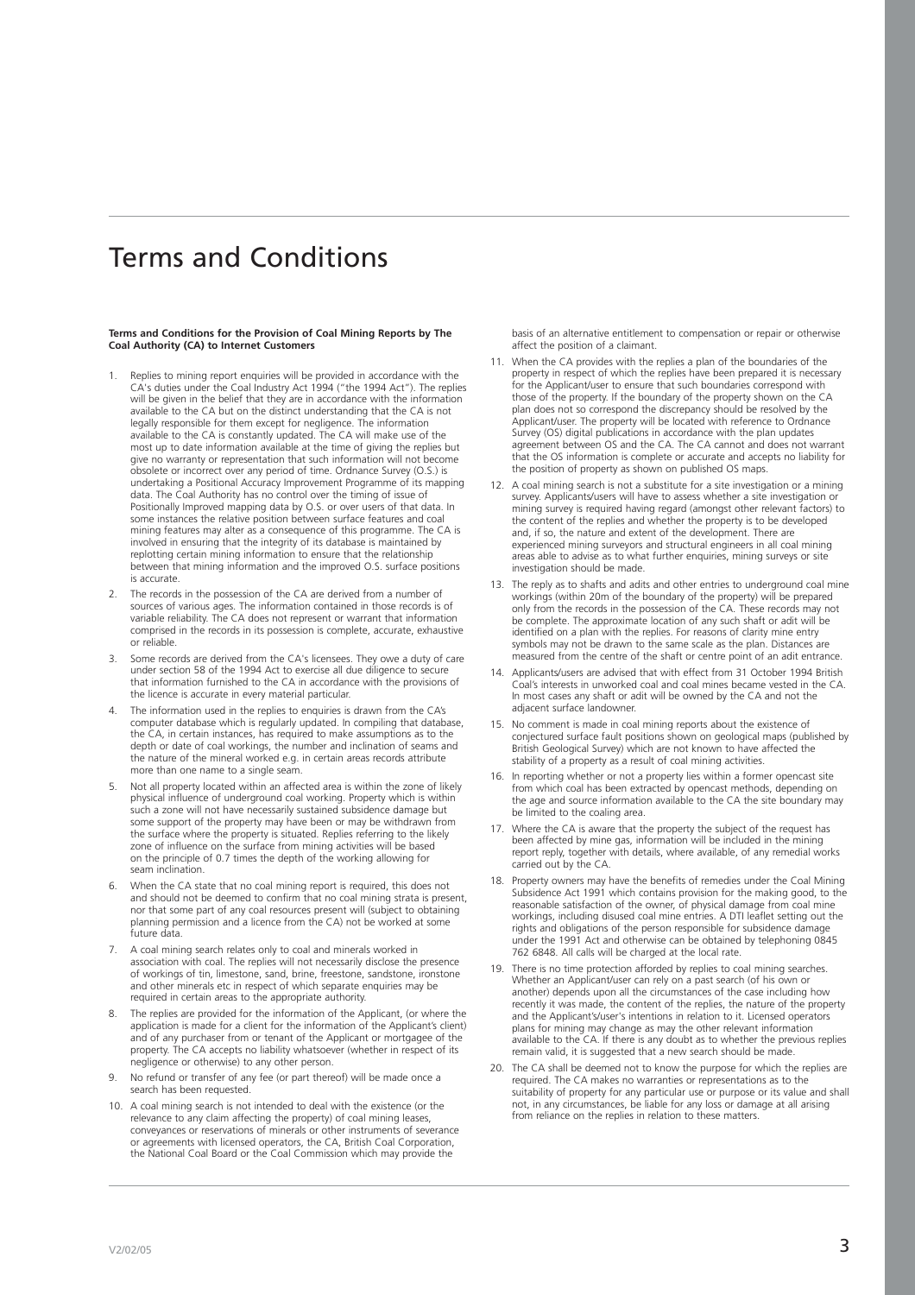# Terms and Conditions

## **Terms and Conditions for the Provision of Coal Mining Reports by The Coal Authority (CA) to Internet Customers**

- Replies to mining report enquiries will be provided in accordance with the CA's duties under the Coal Industry Act 1994 ("the 1994 Act"). The replies will be given in the belief that they are in accordance with the information available to the CA but on the distinct understanding that the CA is not legally responsible for them except for negligence. The information available to the CA is constantly updated. The CA will make use of the most up to date information available at the time of giving the replies but give no warranty or representation that such information will not become obsolete or incorrect over any period of time. Ordnance Survey (O.S.) is undertaking a Positional Accuracy Improvement Programme of its mapping data. The Coal Authority has no control over the timing of issue of Positionally Improved mapping data by O.S. or over users of that data. In some instances the relative position between surface features and coal mining features may alter as a consequence of this programme. The CA is involved in ensuring that the integrity of its database is maintained by replotting certain mining information to ensure that the relationship between that mining information and the improved O.S. surface positions is accurate.
- The records in the possession of the CA are derived from a number of sources of various ages. The information contained in those records is of variable reliability. The CA does not represent or warrant that information comprised in the records in its possession is complete, accurate, exhaustive or reliable.
- 3. Some records are derived from the CA's licensees. They owe a duty of care under section 58 of the 1994 Act to exercise all due diligence to secure that information furnished to the CA in accordance with the provisions of the licence is accurate in every material particular.
- 4. The information used in the replies to enquiries is drawn from the CA's computer database which is regularly updated. In compiling that database, the CA, in certain instances, has required to make assumptions as to the depth or date of coal workings, the number and inclination of seams and the nature of the mineral worked e.g. in certain areas records attribute more than one name to a single seam.
- Not all property located within an affected area is within the zone of likely physical influence of underground coal working. Property which is within such a zone will not have necessarily sustained subsidence damage but some support of the property may have been or may be withdrawn from the surface where the property is situated. Replies referring to the likely zone of influence on the surface from mining activities will be based on the principle of 0.7 times the depth of the working allowing for seam inclination.
- When the CA state that no coal mining report is required, this does not and should not be deemed to confirm that no coal mining strata is present, nor that some part of any coal resources present will (subject to obtaining planning permission and a licence from the CA) not be worked at some future data.
- 7. A coal mining search relates only to coal and minerals worked in association with coal. The replies will not necessarily disclose the presence of workings of tin, limestone, sand, brine, freestone, sandstone, ironstone and other minerals etc in respect of which separate enquiries may be required in certain areas to the appropriate authority.
- 8. The replies are provided for the information of the Applicant, (or where the application is made for a client for the information of the Applicant's client) and of any purchaser from or tenant of the Applicant or mortgagee of the property. The CA accepts no liability whatsoever (whether in respect of its negligence or otherwise) to any other person.
- 9. No refund or transfer of any fee (or part thereof) will be made once a search has been requested.
- 10. A coal mining search is not intended to deal with the existence (or the relevance to any claim affecting the property) of coal mining leases, conveyances or reservations of minerals or other instruments of severance or agreements with licensed operators, the CA, British Coal Corporation, the National Coal Board or the Coal Commission which may provide the

basis of an alternative entitlement to compensation or repair or otherwise affect the position of a claimant.

- 11. When the CA provides with the replies a plan of the boundaries of the property in respect of which the replies have been prepared it is necessary for the Applicant/user to ensure that such boundaries correspond with those of the property. If the boundary of the property shown on the CA plan does not so correspond the discrepancy should be resolved by the Applicant/user. The property will be located with reference to Ordnance Survey (OS) digital publications in accordance with the plan updates agreement between OS and the CA. The CA cannot and does not warrant that the OS information is complete or accurate and accepts no liability for the position of property as shown on published OS maps.
- 12. A coal mining search is not a substitute for a site investigation or a mining survey. Applicants/users will have to assess whether a site investigation or mining survey is required having regard (amongst other relevant factors) to the content of the replies and whether the property is to be developed and, if so, the nature and extent of the development. There are experienced mining surveyors and structural engineers in all coal mining areas able to advise as to what further enquiries, mining surveys or site investigation should be made.
- 13. The reply as to shafts and adits and other entries to underground coal mine workings (within 20m of the boundary of the property) will be prepared only from the records in the possession of the CA. These records may not be complete. The approximate location of any such shaft or adit will be identified on a plan with the replies. For reasons of clarity mine entry symbols may not be drawn to the same scale as the plan. Distances are measured from the centre of the shaft or centre point of an adit entrance.
- 14. Applicants/users are advised that with effect from 31 October 1994 British Coal's interests in unworked coal and coal mines became vested in the CA. In most cases any shaft or adit will be owned by the CA and not the adjacent surface landowner.
- 15. No comment is made in coal mining reports about the existence of conjectured surface fault positions shown on geological maps (published by British Geological Survey) which are not known to have affected the stability of a property as a result of coal mining activities.
- 16. In reporting whether or not a property lies within a former opencast site from which coal has been extracted by opencast methods, depending on the age and source information available to the CA the site boundary may be limited to the coaling area.
- 17. Where the CA is aware that the property the subject of the request has been affected by mine gas, information will be included in the mining report reply, together with details, where available, of any remedial works carried out by the CA.
- 18. Property owners may have the benefits of remedies under the Coal Mining Subsidence Act 1991 which contains provision for the making good, to the reasonable satisfaction of the owner, of physical damage from coal mine workings, including disused coal mine entries. A DTI leaflet setting out the rights and obligations of the person responsible for subsidence damage under the 1991 Act and otherwise can be obtained by telephoning 0845 762 6848. All calls will be charged at the local rate.
- 19. There is no time protection afforded by replies to coal mining searches. Whether an Applicant/user can rely on a past search (of his own or another) depends upon all the circumstances of the case including how recently it was made, the content of the replies, the nature of the property and the Applicant's/user's intentions in relation to it. Licensed operators plans for mining may change as may the other relevant information available to the CA. If there is any doubt as to whether the previous replies remain valid, it is suggested that a new search should be made.
- 20. The CA shall be deemed not to know the purpose for which the replies are required. The CA makes no warranties or representations as to the suitability of property for any particular use or purpose or its value and shall not, in any circumstances, be liable for any loss or damage at all arising from reliance on the replies in relation to these matters.